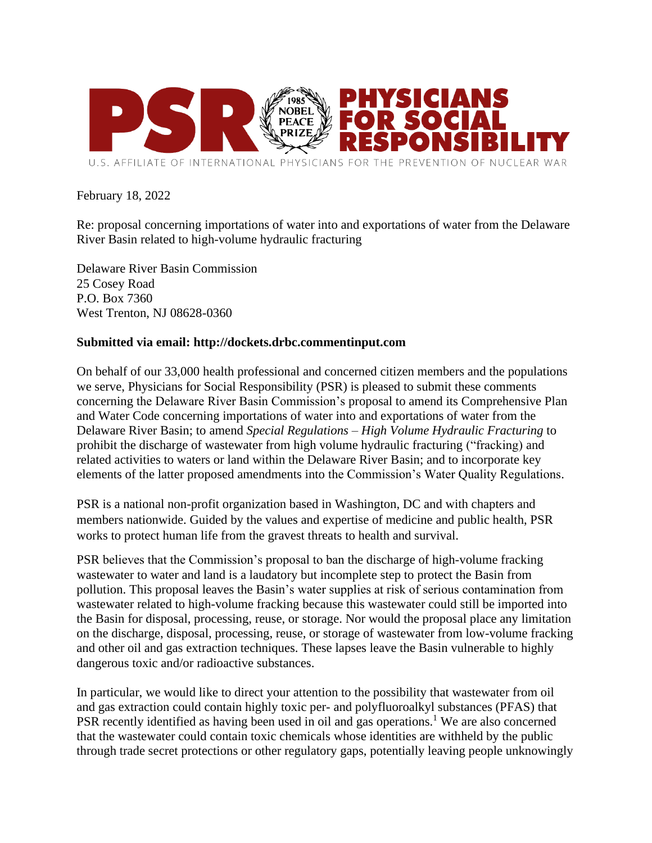

## February 18, 2022

Re: proposal concerning importations of water into and exportations of water from the Delaware River Basin related to high-volume hydraulic fracturing

Delaware River Basin Commission 25 Cosey Road P.O. Box 7360 West Trenton, NJ 08628-0360

## **Submitted via email: http://dockets.drbc.commentinput.com**

On behalf of our 33,000 health professional and concerned citizen members and the populations we serve, Physicians for Social Responsibility (PSR) is pleased to submit these comments concerning the Delaware River Basin Commission's proposal to amend its Comprehensive Plan and Water Code concerning importations of water into and exportations of water from the Delaware River Basin; to amend *Special Regulations – High Volume Hydraulic Fracturing* to prohibit the discharge of wastewater from high volume hydraulic fracturing ("fracking) and related activities to waters or land within the Delaware River Basin; and to incorporate key elements of the latter proposed amendments into the Commission's Water Quality Regulations.

PSR is a national non-profit organization based in Washington, DC and with chapters and members nationwide. Guided by the values and expertise of medicine and public health, PSR works to protect human life from the gravest threats to health and survival.

PSR believes that the Commission's proposal to ban the discharge of high-volume fracking wastewater to water and land is a laudatory but incomplete step to protect the Basin from pollution. This proposal leaves the Basin's water supplies at risk of serious contamination from wastewater related to high-volume fracking because this wastewater could still be imported into the Basin for disposal, processing, reuse, or storage. Nor would the proposal place any limitation on the discharge, disposal, processing, reuse, or storage of wastewater from low-volume fracking and other oil and gas extraction techniques. These lapses leave the Basin vulnerable to highly dangerous toxic and/or radioactive substances.

In particular, we would like to direct your attention to the possibility that wastewater from oil and gas extraction could contain highly toxic per- and polyfluoroalkyl substances (PFAS) that PSR recently identified as having been used in oil and gas operations.<sup>1</sup> We are also concerned that the wastewater could contain toxic chemicals whose identities are withheld by the public through trade secret protections or other regulatory gaps, potentially leaving people unknowingly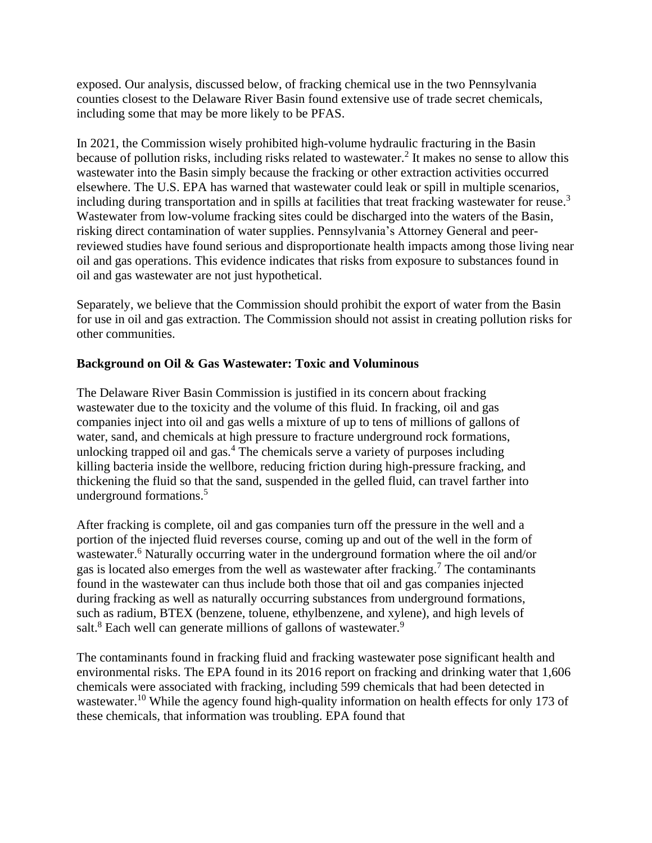exposed. Our analysis, discussed below, of fracking chemical use in the two Pennsylvania counties closest to the Delaware River Basin found extensive use of trade secret chemicals, including some that may be more likely to be PFAS.

In 2021, the Commission wisely prohibited high-volume hydraulic fracturing in the Basin because of pollution risks, including risks related to wastewater.<sup>2</sup> It makes no sense to allow this wastewater into the Basin simply because the fracking or other extraction activities occurred elsewhere. The U.S. EPA has warned that wastewater could leak or spill in multiple scenarios, including during transportation and in spills at facilities that treat fracking wastewater for reuse.<sup>3</sup> Wastewater from low-volume fracking sites could be discharged into the waters of the Basin, risking direct contamination of water supplies. Pennsylvania's Attorney General and peerreviewed studies have found serious and disproportionate health impacts among those living near oil and gas operations. This evidence indicates that risks from exposure to substances found in oil and gas wastewater are not just hypothetical.

Separately, we believe that the Commission should prohibit the export of water from the Basin for use in oil and gas extraction. The Commission should not assist in creating pollution risks for other communities.

## **Background on Oil & Gas Wastewater: Toxic and Voluminous**

The Delaware River Basin Commission is justified in its concern about fracking wastewater due to the toxicity and the volume of this fluid. In fracking, oil and gas companies inject into oil and gas wells a mixture of up to tens of millions of gallons of water, sand, and chemicals at high pressure to fracture underground rock formations, unlocking trapped oil and gas. $4$  The chemicals serve a variety of purposes including killing bacteria inside the wellbore, reducing friction during high-pressure fracking, and thickening the fluid so that the sand, suspended in the gelled fluid, can travel farther into underground formations.<sup>5</sup>

After fracking is complete, oil and gas companies turn off the pressure in the well and a portion of the injected fluid reverses course, coming up and out of the well in the form of wastewater.<sup>6</sup> Naturally occurring water in the underground formation where the oil and/or gas is located also emerges from the well as wastewater after fracking.<sup>7</sup> The contaminants found in the wastewater can thus include both those that oil and gas companies injected during fracking as well as naturally occurring substances from underground formations, such as radium, BTEX (benzene, toluene, ethylbenzene, and xylene), and high levels of salt.<sup>8</sup> Each well can generate millions of gallons of wastewater.<sup>9</sup>

The contaminants found in fracking fluid and fracking wastewater pose significant health and environmental risks. The EPA found in its 2016 report on fracking and drinking water that 1,606 chemicals were associated with fracking, including 599 chemicals that had been detected in wastewater.<sup>10</sup> While the agency found high-quality information on health effects for only 173 of these chemicals, that information was troubling. EPA found that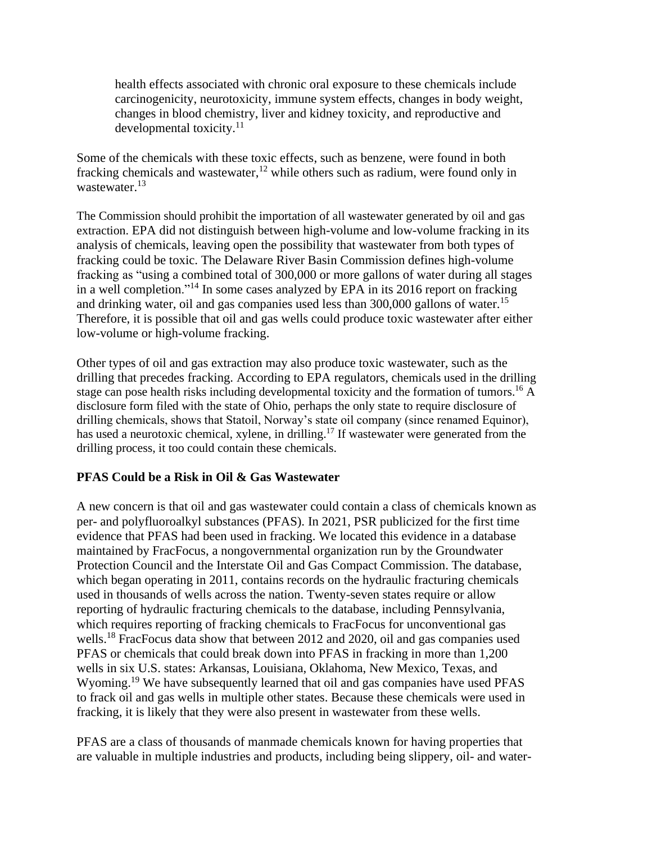health effects associated with chronic oral exposure to these chemicals include carcinogenicity, neurotoxicity, immune system effects, changes in body weight, changes in blood chemistry, liver and kidney toxicity, and reproductive and developmental toxicity.<sup>11</sup>

Some of the chemicals with these toxic effects, such as benzene, were found in both fracking chemicals and wastewater,<sup>12</sup> while others such as radium, were found only in wastewater.<sup>13</sup>

The Commission should prohibit the importation of all wastewater generated by oil and gas extraction. EPA did not distinguish between high-volume and low-volume fracking in its analysis of chemicals, leaving open the possibility that wastewater from both types of fracking could be toxic. The Delaware River Basin Commission defines high-volume fracking as "using a combined total of 300,000 or more gallons of water during all stages in a well completion."<sup>14</sup> In some cases analyzed by EPA in its 2016 report on fracking and drinking water, oil and gas companies used less than 300,000 gallons of water.<sup>15</sup> Therefore, it is possible that oil and gas wells could produce toxic wastewater after either low-volume or high-volume fracking.

Other types of oil and gas extraction may also produce toxic wastewater, such as the drilling that precedes fracking. According to EPA regulators, chemicals used in the drilling stage can pose health risks including developmental toxicity and the formation of tumors.<sup>16</sup> A disclosure form filed with the state of Ohio, perhaps the only state to require disclosure of drilling chemicals, shows that Statoil, Norway's state oil company (since renamed Equinor), has used a neurotoxic chemical, xylene, in drilling.<sup>17</sup> If wastewater were generated from the drilling process, it too could contain these chemicals.

# **PFAS Could be a Risk in Oil & Gas Wastewater**

A new concern is that oil and gas wastewater could contain a class of chemicals known as per- and polyfluoroalkyl substances (PFAS). In 2021, PSR publicized for the first time evidence that PFAS had been used in fracking. We located this evidence in a database maintained by FracFocus, a nongovernmental organization run by the Groundwater Protection Council and the Interstate Oil and Gas Compact Commission. The database, which began operating in 2011, contains records on the hydraulic fracturing chemicals used in thousands of wells across the nation. Twenty-seven states require or allow reporting of hydraulic fracturing chemicals to the database, including Pennsylvania, which requires reporting of fracking chemicals to FracFocus for unconventional gas wells.<sup>18</sup> FracFocus data show that between 2012 and 2020, oil and gas companies used PFAS or chemicals that could break down into PFAS in fracking in more than 1,200 wells in six U.S. states: Arkansas, Louisiana, Oklahoma, New Mexico, Texas, and Wyoming.<sup>19</sup> We have subsequently learned that oil and gas companies have used PFAS to frack oil and gas wells in multiple other states. Because these chemicals were used in fracking, it is likely that they were also present in wastewater from these wells.

PFAS are a class of thousands of manmade chemicals known for having properties that are valuable in multiple industries and products, including being slippery, oil- and water-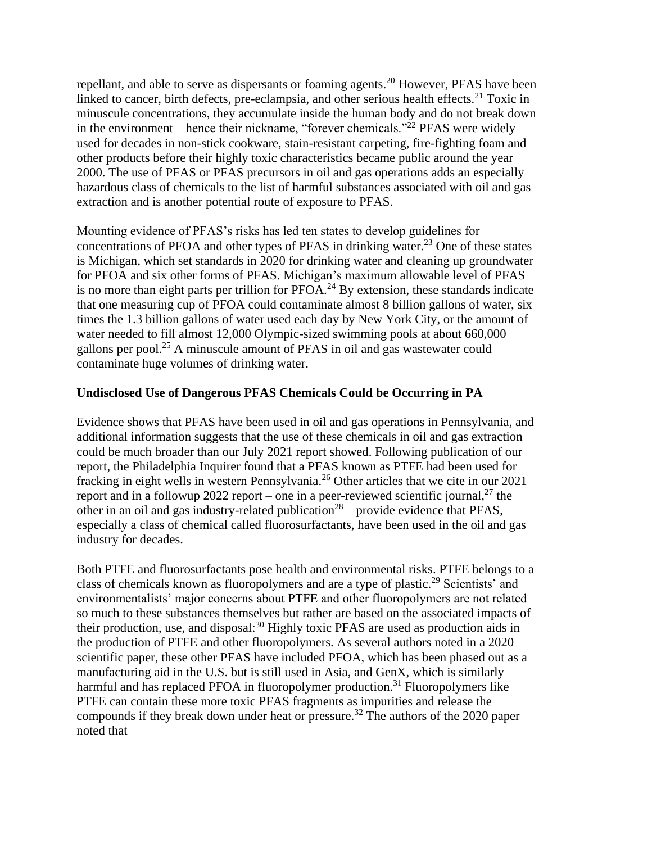repellant, and able to serve as dispersants or foaming agents.<sup>20</sup> However, PFAS have been linked to cancer, birth defects, pre-eclampsia, and other serious health effects.<sup>21</sup> Toxic in minuscule concentrations, they accumulate inside the human body and do not break down in the environment – hence their nickname, "forever chemicals."<sup>22</sup> PFAS were widely used for decades in non-stick cookware, stain-resistant carpeting, fire-fighting foam and other products before their highly toxic characteristics became public around the year 2000. The use of PFAS or PFAS precursors in oil and gas operations adds an especially hazardous class of chemicals to the list of harmful substances associated with oil and gas extraction and is another potential route of exposure to PFAS.

Mounting evidence of PFAS's risks has led ten states to develop guidelines for concentrations of PFOA and other types of PFAS in drinking water.<sup>23</sup> One of these states is Michigan, which set standards in 2020 for drinking water and cleaning up groundwater for PFOA and six other forms of PFAS. Michigan's maximum allowable level of PFAS is no more than eight parts per trillion for  $PFOA<sup>24</sup>$  By extension, these standards indicate that one measuring cup of PFOA could contaminate almost 8 billion gallons of water, six times the 1.3 billion gallons of water used each day by New York City, or the amount of water needed to fill almost 12,000 Olympic-sized swimming pools at about 660,000 gallons per pool.<sup>25</sup> A minuscule amount of PFAS in oil and gas wastewater could contaminate huge volumes of drinking water.

## **Undisclosed Use of Dangerous PFAS Chemicals Could be Occurring in PA**

Evidence shows that PFAS have been used in oil and gas operations in Pennsylvania, and additional information suggests that the use of these chemicals in oil and gas extraction could be much broader than our July 2021 report showed. Following publication of our report, the Philadelphia Inquirer found that a PFAS known as PTFE had been used for fracking in eight wells in western Pennsylvania.<sup>26</sup> Other articles that we cite in our 2021 report and in a followup 2022 report – one in a peer-reviewed scientific journal,<sup>27</sup> the other in an oil and gas industry-related publication<sup>28</sup> – provide evidence that PFAS, especially a class of chemical called fluorosurfactants, have been used in the oil and gas industry for decades.

Both PTFE and fluorosurfactants pose health and environmental risks. PTFE belongs to a class of chemicals known as fluoropolymers and are a type of plastic.<sup>29</sup> Scientists' and environmentalists' major concerns about PTFE and other fluoropolymers are not related so much to these substances themselves but rather are based on the associated impacts of their production, use, and disposal: $30$  Highly toxic PFAS are used as production aids in the production of PTFE and other fluoropolymers. As several authors noted in a 2020 scientific paper, these other PFAS have included PFOA, which has been phased out as a manufacturing aid in the U.S. but is still used in Asia, and GenX, which is similarly harmful and has replaced PFOA in fluoropolymer production.<sup>31</sup> Fluoropolymers like PTFE can contain these more toxic PFAS fragments as impurities and release the compounds if they break down under heat or pressure.<sup>32</sup> The authors of the 2020 paper noted that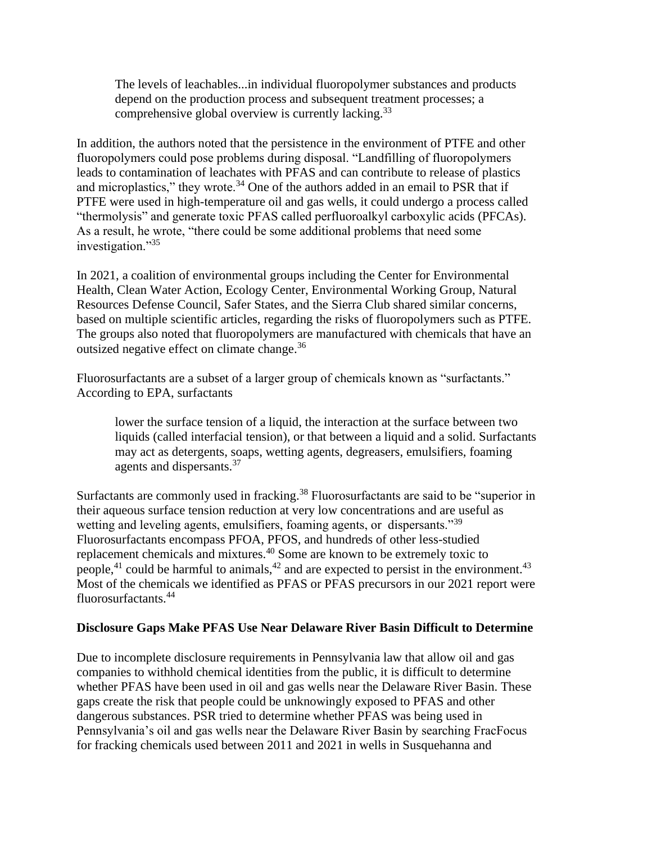The levels of leachables...in individual fluoropolymer substances and products depend on the production process and subsequent treatment processes; a comprehensive global overview is currently lacking.<sup>33</sup>

In addition, the authors noted that the persistence in the environment of PTFE and other fluoropolymers could pose problems during disposal. "Landfilling of fluoropolymers leads to contamination of leachates with PFAS and can contribute to release of plastics and microplastics," they wrote. $34$  One of the authors added in an email to PSR that if PTFE were used in high-temperature oil and gas wells, it could undergo a process called "thermolysis" and generate toxic PFAS called perfluoroalkyl carboxylic acids (PFCAs). As a result, he wrote, "there could be some additional problems that need some investigation."<sup>35</sup>

In 2021, a coalition of environmental groups including the Center for Environmental Health, Clean Water Action, Ecology Center, Environmental Working Group, Natural Resources Defense Council, Safer States, and the Sierra Club shared similar concerns, based on multiple scientific articles, regarding the risks of fluoropolymers such as PTFE. The groups also noted that fluoropolymers are manufactured with chemicals that have an outsized negative effect on climate change.<sup>36</sup>

Fluorosurfactants are a subset of a larger group of chemicals known as "surfactants." According to EPA, surfactants

lower the surface tension of a liquid, the interaction at the surface between two liquids (called interfacial tension), or that between a liquid and a solid. Surfactants may act as detergents, soaps, wetting agents, degreasers, emulsifiers, foaming agents and dispersants.<sup>37</sup>

Surfactants are commonly used in fracking.<sup>38</sup> Fluorosurfactants are said to be "superior in their aqueous surface tension reduction at very low concentrations and are useful as wetting and leveling agents, emulsifiers, foaming agents, or dispersants.<sup>39</sup> Fluorosurfactants encompass PFOA, PFOS, and hundreds of other less-studied replacement chemicals and mixtures.<sup>40</sup> Some are known to be extremely toxic to people,<sup>41</sup> could be harmful to animals,<sup>42</sup> and are expected to persist in the environment.<sup>43</sup> Most of the chemicals we identified as PFAS or PFAS precursors in our 2021 report were fluorosurfactants.<sup>44</sup>

### **Disclosure Gaps Make PFAS Use Near Delaware River Basin Difficult to Determine**

Due to incomplete disclosure requirements in Pennsylvania law that allow oil and gas companies to withhold chemical identities from the public, it is difficult to determine whether PFAS have been used in oil and gas wells near the Delaware River Basin. These gaps create the risk that people could be unknowingly exposed to PFAS and other dangerous substances. PSR tried to determine whether PFAS was being used in Pennsylvania's oil and gas wells near the Delaware River Basin by searching FracFocus for fracking chemicals used between 2011 and 2021 in wells in Susquehanna and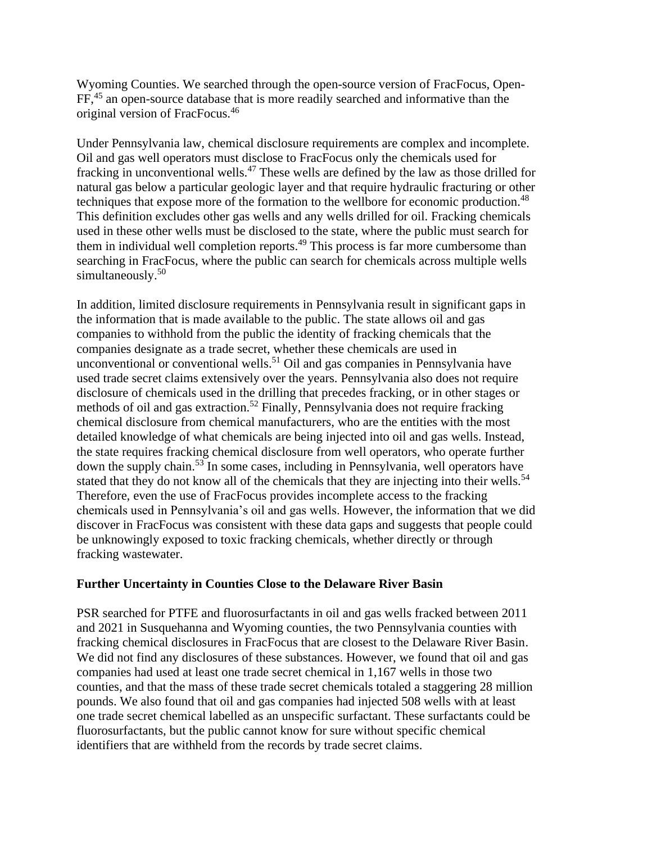Wyoming Counties. We searched through the open-source version of FracFocus, Open-FF,<sup>45</sup> an open-source database that is more readily searched and informative than the original version of FracFocus.<sup>46</sup>

Under Pennsylvania law, chemical disclosure requirements are complex and incomplete. Oil and gas well operators must disclose to FracFocus only the chemicals used for fracking in unconventional wells.<sup>47</sup> These wells are defined by the law as those drilled for natural gas below a particular geologic layer and that require hydraulic fracturing or other techniques that expose more of the formation to the wellbore for economic production.<sup>48</sup> This definition excludes other gas wells and any wells drilled for oil. Fracking chemicals used in these other wells must be disclosed to the state, where the public must search for them in individual well completion reports.<sup>49</sup> This process is far more cumbersome than searching in FracFocus, where the public can search for chemicals across multiple wells simultaneously. 50

In addition, limited disclosure requirements in Pennsylvania result in significant gaps in the information that is made available to the public. The state allows oil and gas companies to withhold from the public the identity of fracking chemicals that the companies designate as a trade secret, whether these chemicals are used in unconventional or conventional wells. <sup>51</sup> Oil and gas companies in Pennsylvania have used trade secret claims extensively over the years. Pennsylvania also does not require disclosure of chemicals used in the drilling that precedes fracking, or in other stages or methods of oil and gas extraction.<sup>52</sup> Finally, Pennsylvania does not require fracking chemical disclosure from chemical manufacturers, who are the entities with the most detailed knowledge of what chemicals are being injected into oil and gas wells. Instead, the state requires fracking chemical disclosure from well operators, who operate further down the supply chain.<sup>53</sup> In some cases, including in Pennsylvania, well operators have stated that they do not know all of the chemicals that they are injecting into their wells.<sup>54</sup> Therefore, even the use of FracFocus provides incomplete access to the fracking chemicals used in Pennsylvania's oil and gas wells. However, the information that we did discover in FracFocus was consistent with these data gaps and suggests that people could be unknowingly exposed to toxic fracking chemicals, whether directly or through fracking wastewater.

### **Further Uncertainty in Counties Close to the Delaware River Basin**

PSR searched for PTFE and fluorosurfactants in oil and gas wells fracked between 2011 and 2021 in Susquehanna and Wyoming counties, the two Pennsylvania counties with fracking chemical disclosures in FracFocus that are closest to the Delaware River Basin. We did not find any disclosures of these substances. However, we found that oil and gas companies had used at least one trade secret chemical in 1,167 wells in those two counties, and that the mass of these trade secret chemicals totaled a staggering 28 million pounds. We also found that oil and gas companies had injected 508 wells with at least one trade secret chemical labelled as an unspecific surfactant. These surfactants could be fluorosurfactants, but the public cannot know for sure without specific chemical identifiers that are withheld from the records by trade secret claims.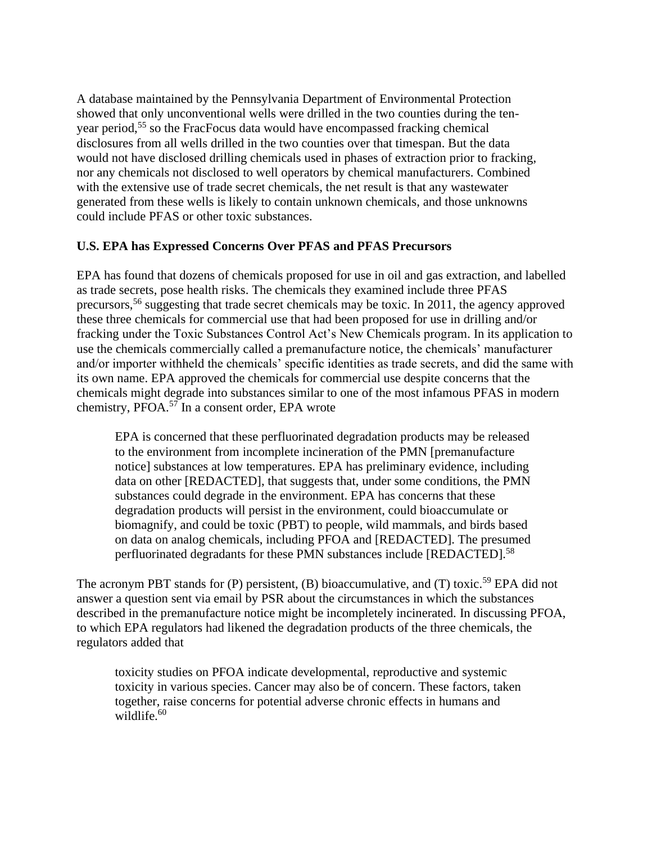A database maintained by the Pennsylvania Department of Environmental Protection showed that only unconventional wells were drilled in the two counties during the tenyear period, <sup>55</sup> so the FracFocus data would have encompassed fracking chemical disclosures from all wells drilled in the two counties over that timespan. But the data would not have disclosed drilling chemicals used in phases of extraction prior to fracking, nor any chemicals not disclosed to well operators by chemical manufacturers. Combined with the extensive use of trade secret chemicals, the net result is that any wastewater generated from these wells is likely to contain unknown chemicals, and those unknowns could include PFAS or other toxic substances.

## **U.S. EPA has Expressed Concerns Over PFAS and PFAS Precursors**

EPA has found that dozens of chemicals proposed for use in oil and gas extraction, and labelled as trade secrets, pose health risks. The chemicals they examined include three PFAS precursors,<sup>56</sup> suggesting that trade secret chemicals may be toxic. In 2011, the agency approved these three chemicals for commercial use that had been proposed for use in drilling and/or fracking under the Toxic Substances Control Act's New Chemicals program. In its application to use the chemicals commercially called a premanufacture notice, the chemicals' manufacturer and/or importer withheld the chemicals' specific identities as trade secrets, and did the same with its own name. EPA approved the chemicals for commercial use despite concerns that the chemicals might degrade into substances similar to one of the most infamous PFAS in modern chemistry,  $\widetilde{PPOA}$ <sup>57</sup> In a consent order, EPA wrote

EPA is concerned that these perfluorinated degradation products may be released to the environment from incomplete incineration of the PMN [premanufacture notice] substances at low temperatures. EPA has preliminary evidence, including data on other [REDACTED], that suggests that, under some conditions, the PMN substances could degrade in the environment. EPA has concerns that these degradation products will persist in the environment, could bioaccumulate or biomagnify, and could be toxic (PBT) to people, wild mammals, and birds based on data on analog chemicals, including PFOA and [REDACTED]. The presumed perfluorinated degradants for these PMN substances include [REDACTED].<sup>58</sup>

The acronym PBT stands for  $(P)$  persistent,  $(B)$  bioaccumulative, and  $(T)$  toxic.<sup>59</sup> EPA did not answer a question sent via email by PSR about the circumstances in which the substances described in the premanufacture notice might be incompletely incinerated. In discussing PFOA, to which EPA regulators had likened the degradation products of the three chemicals, the regulators added that

toxicity studies on PFOA indicate developmental, reproductive and systemic toxicity in various species. Cancer may also be of concern. These factors, taken together, raise concerns for potential adverse chronic effects in humans and wildlife.<sup>60</sup>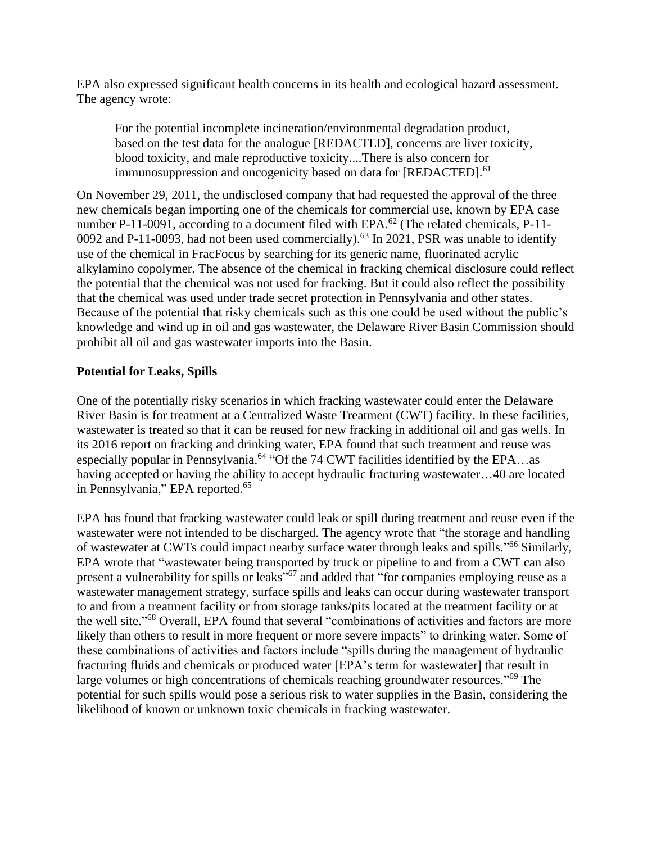EPA also expressed significant health concerns in its health and ecological hazard assessment. The agency wrote:

For the potential incomplete incineration/environmental degradation product, based on the test data for the analogue [REDACTED], concerns are liver toxicity, blood toxicity, and male reproductive toxicity....There is also concern for immunosuppression and oncogenicity based on data for [REDACTED].<sup>61</sup>

On November 29, 2011, the undisclosed company that had requested the approval of the three new chemicals began importing one of the chemicals for commercial use, known by EPA case number P-11-0091, according to a document filed with EPA.<sup>62</sup> (The related chemicals, P-11-0092 and P-11-0093, had not been used commercially).<sup>63</sup> In 2021, PSR was unable to identify use of the chemical in FracFocus by searching for its generic name, fluorinated acrylic alkylamino copolymer. The absence of the chemical in fracking chemical disclosure could reflect the potential that the chemical was not used for fracking. But it could also reflect the possibility that the chemical was used under trade secret protection in Pennsylvania and other states. Because of the potential that risky chemicals such as this one could be used without the public's knowledge and wind up in oil and gas wastewater, the Delaware River Basin Commission should prohibit all oil and gas wastewater imports into the Basin.

# **Potential for Leaks, Spills**

One of the potentially risky scenarios in which fracking wastewater could enter the Delaware River Basin is for treatment at a Centralized Waste Treatment (CWT) facility. In these facilities, wastewater is treated so that it can be reused for new fracking in additional oil and gas wells. In its 2016 report on fracking and drinking water, EPA found that such treatment and reuse was especially popular in Pennsylvania.<sup>64</sup> "Of the 74 CWT facilities identified by the EPA...as having accepted or having the ability to accept hydraulic fracturing wastewater…40 are located in Pennsylvania," EPA reported.<sup>65</sup>

EPA has found that fracking wastewater could leak or spill during treatment and reuse even if the wastewater were not intended to be discharged. The agency wrote that "the storage and handling of wastewater at CWTs could impact nearby surface water through leaks and spills."<sup>66</sup> Similarly, EPA wrote that "wastewater being transported by truck or pipeline to and from a CWT can also present a vulnerability for spills or leaks"<sup>67</sup> and added that "for companies employing reuse as a wastewater management strategy, surface spills and leaks can occur during wastewater transport to and from a treatment facility or from storage tanks/pits located at the treatment facility or at the well site."<sup>68</sup> Overall, EPA found that several "combinations of activities and factors are more likely than others to result in more frequent or more severe impacts" to drinking water. Some of these combinations of activities and factors include "spills during the management of hydraulic fracturing fluids and chemicals or produced water [EPA's term for wastewater] that result in large volumes or high concentrations of chemicals reaching groundwater resources."<sup>69</sup> The potential for such spills would pose a serious risk to water supplies in the Basin, considering the likelihood of known or unknown toxic chemicals in fracking wastewater.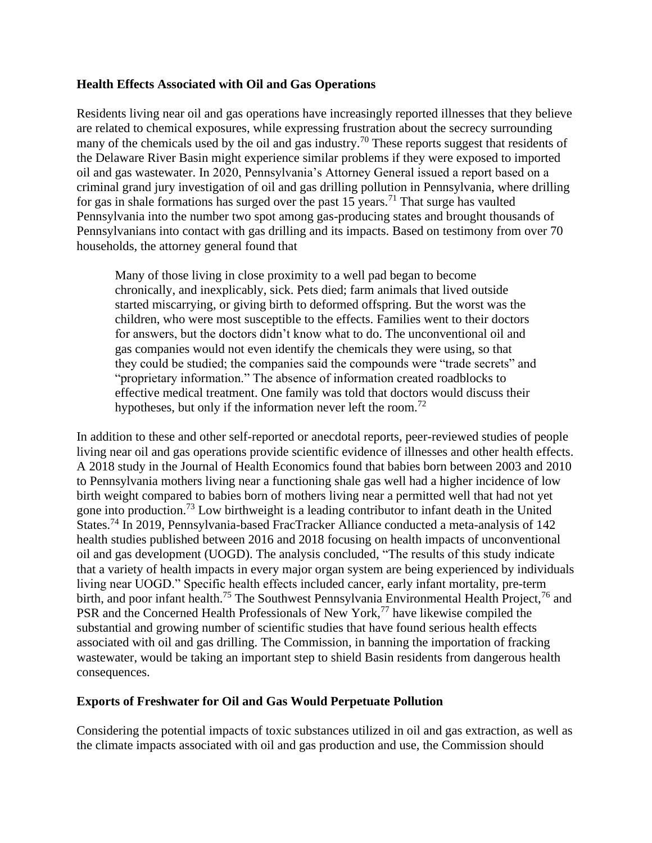## **Health Effects Associated with Oil and Gas Operations**

Residents living near oil and gas operations have increasingly reported illnesses that they believe are related to chemical exposures, while expressing frustration about the secrecy surrounding many of the chemicals used by the oil and gas industry.<sup>70</sup> These reports suggest that residents of the Delaware River Basin might experience similar problems if they were exposed to imported oil and gas wastewater. In 2020, Pennsylvania's Attorney General issued a report based on a criminal grand jury investigation of oil and gas drilling pollution in Pennsylvania, where drilling for gas in shale formations has surged over the past  $15$  years.<sup>71</sup> That surge has vaulted Pennsylvania into the number two spot among gas-producing states and brought thousands of Pennsylvanians into contact with gas drilling and its impacts. Based on testimony from over 70 households, the attorney general found that

Many of those living in close proximity to a well pad began to become chronically, and inexplicably, sick. Pets died; farm animals that lived outside started miscarrying, or giving birth to deformed offspring. But the worst was the children, who were most susceptible to the effects. Families went to their doctors for answers, but the doctors didn't know what to do. The unconventional oil and gas companies would not even identify the chemicals they were using, so that they could be studied; the companies said the compounds were "trade secrets" and "proprietary information." The absence of information created roadblocks to effective medical treatment. One family was told that doctors would discuss their hypotheses, but only if the information never left the room.<sup>72</sup>

In addition to these and other self-reported or anecdotal reports, peer-reviewed studies of people living near oil and gas operations provide scientific evidence of illnesses and other health effects. A 2018 study in the Journal of Health Economics found that babies born between 2003 and 2010 to Pennsylvania mothers living near a functioning shale gas well had a higher incidence of low birth weight compared to babies born of mothers living near a permitted well that had not yet gone into production.<sup>73</sup> Low birthweight is a leading contributor to infant death in the United States.<sup>74</sup> In 2019, Pennsylvania-based FracTracker Alliance conducted a meta-analysis of 142 health studies published between 2016 and 2018 focusing on health impacts of unconventional oil and gas development (UOGD). The analysis concluded, "The results of this study indicate that a variety of health impacts in every major organ system are being experienced by individuals living near UOGD." Specific health effects included cancer, early infant mortality, pre-term birth, and poor infant health.<sup>75</sup> The Southwest Pennsylvania Environmental Health Project,<sup>76</sup> and PSR and the Concerned Health Professionals of New York,<sup>77</sup> have likewise compiled the substantial and growing number of scientific studies that have found serious health effects associated with oil and gas drilling. The Commission, in banning the importation of fracking wastewater, would be taking an important step to shield Basin residents from dangerous health consequences.

### **Exports of Freshwater for Oil and Gas Would Perpetuate Pollution**

Considering the potential impacts of toxic substances utilized in oil and gas extraction, as well as the climate impacts associated with oil and gas production and use, the Commission should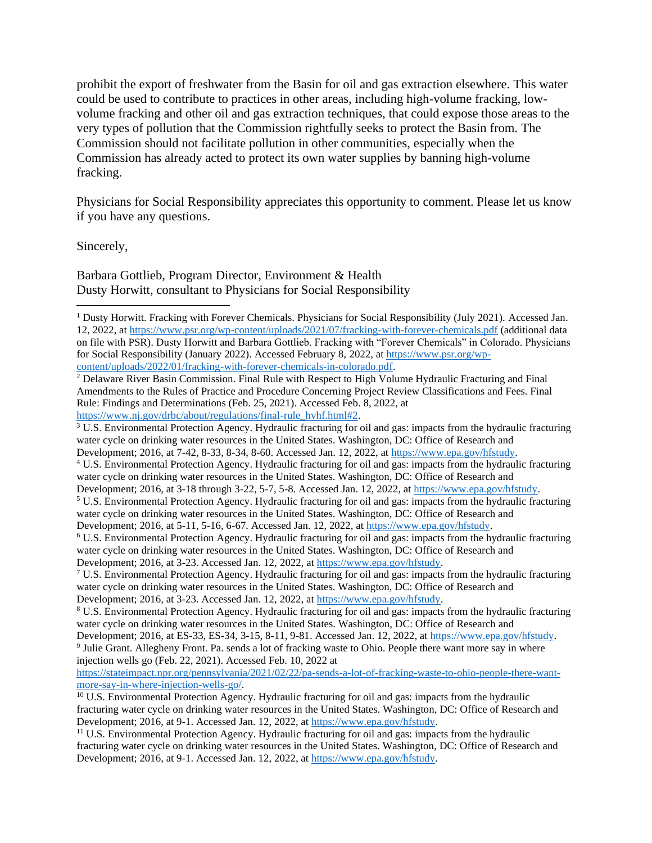prohibit the export of freshwater from the Basin for oil and gas extraction elsewhere. This water could be used to contribute to practices in other areas, including high-volume fracking, lowvolume fracking and other oil and gas extraction techniques, that could expose those areas to the very types of pollution that the Commission rightfully seeks to protect the Basin from. The Commission should not facilitate pollution in other communities, especially when the Commission has already acted to protect its own water supplies by banning high-volume fracking.

Physicians for Social Responsibility appreciates this opportunity to comment. Please let us know if you have any questions.

Sincerely,

Barbara Gottlieb, Program Director, Environment & Health Dusty Horwitt, consultant to Physicians for Social Responsibility

[content/uploads/2022/01/fracking-with-forever-chemicals-in-colorado.pdf.](https://www.psr.org/wp-content/uploads/2022/01/fracking-with-forever-chemicals-in-colorado.pdf)

<sup>&</sup>lt;sup>1</sup> Dusty Horwitt. Fracking with Forever Chemicals. Physicians for Social Responsibility (July 2021). Accessed Jan. 12, 2022, a[t https://www.psr.org/wp-content/uploads/2021/07/fracking-with-forever-chemicals.pdf](https://www.psr.org/wp-content/uploads/2021/07/fracking-with-forever-chemicals.pdf) (additional data on file with PSR). Dusty Horwitt and Barbara Gottlieb. Fracking with "Forever Chemicals" in Colorado. Physicians for Social Responsibility (January 2022). Accessed February 8, 2022, at [https://www.psr.org/wp-](https://www.psr.org/wp-content/uploads/2022/01/fracking-with-forever-chemicals-in-colorado.pdf)

<sup>&</sup>lt;sup>2</sup> Delaware River Basin Commission. Final Rule with Respect to High Volume Hydraulic Fracturing and Final Amendments to the Rules of Practice and Procedure Concerning Project Review Classifications and Fees. Final Rule: Findings and Determinations (Feb. 25, 2021). Accessed Feb. 8, 2022, at [https://www.nj.gov/drbc/about/regulations/final-rule\\_hvhf.html#2.](https://www.nj.gov/drbc/about/regulations/final-rule_hvhf.html#2)

<sup>3</sup> U.S. Environmental Protection Agency. Hydraulic fracturing for oil and gas: impacts from the hydraulic fracturing water cycle on drinking water resources in the United States. Washington, DC: Office of Research and

Development; 2016, at 7-42, 8-33, 8-34, 8-60. Accessed Jan. 12, 2022, at [https://www.epa.gov/hfstudy.](https://www.epa.gov/hfstudy)

<sup>4</sup> U.S. Environmental Protection Agency. Hydraulic fracturing for oil and gas: impacts from the hydraulic fracturing water cycle on drinking water resources in the United States. Washington, DC: Office of Research and

Development; 2016, at 3-18 through 3-22, 5-7, 5-8. Accessed Jan. 12, 2022, a[t https://www.epa.gov/hfstudy.](https://www.epa.gov/hfstudy)

<sup>5</sup> U.S. Environmental Protection Agency. Hydraulic fracturing for oil and gas: impacts from the hydraulic fracturing water cycle on drinking water resources in the United States. Washington, DC: Office of Research and Development; 2016, at 5-11, 5-16, 6-67. Accessed Jan. 12, 2022, at [https://www.epa.gov/hfstudy.](https://www.epa.gov/hfstudy)

<sup>6</sup> U.S. Environmental Protection Agency. Hydraulic fracturing for oil and gas: impacts from the hydraulic fracturing water cycle on drinking water resources in the United States. Washington, DC: Office of Research and Development; 2016, at 3-23. Accessed Jan. 12, 2022, a[t https://www.epa.gov/hfstudy.](https://www.epa.gov/hfstudy)

<sup>7</sup> U.S. Environmental Protection Agency. Hydraulic fracturing for oil and gas: impacts from the hydraulic fracturing water cycle on drinking water resources in the United States. Washington, DC: Office of Research and Development; 2016, at 3-23. Accessed Jan. 12, 2022, a[t https://www.epa.gov/hfstudy.](https://www.epa.gov/hfstudy)

<sup>8</sup> U.S. Environmental Protection Agency. Hydraulic fracturing for oil and gas: impacts from the hydraulic fracturing water cycle on drinking water resources in the United States. Washington, DC: Office of Research and

Development; 2016, at ES-33, ES-34, 3-15, 8-11, 9-81. Accessed Jan. 12, 2022, at [https://www.epa.gov/hfstudy.](https://www.epa.gov/hfstudy) <sup>9</sup> Julie Grant. Allegheny Front. Pa. sends a lot of fracking waste to Ohio. People there want more say in where injection wells go (Feb. 22, 2021). Accessed Feb. 10, 2022 at

[https://stateimpact.npr.org/pennsylvania/2021/02/22/pa-sends-a-lot-of-fracking-waste-to-ohio-people-there-want](https://stateimpact.npr.org/pennsylvania/2021/02/22/pa-sends-a-lot-of-fracking-waste-to-ohio-people-there-want-more-say-in-where-injection-wells-go/)[more-say-in-where-injection-wells-go/.](https://stateimpact.npr.org/pennsylvania/2021/02/22/pa-sends-a-lot-of-fracking-waste-to-ohio-people-there-want-more-say-in-where-injection-wells-go/)

<sup>&</sup>lt;sup>10</sup> U.S. Environmental Protection Agency. Hydraulic fracturing for oil and gas: impacts from the hydraulic fracturing water cycle on drinking water resources in the United States. Washington, DC: Office of Research and Development; 2016, at 9-1. Accessed Jan. 12, 2022, at [https://www.epa.gov/hfstudy.](https://www.epa.gov/hfstudy)

<sup>&</sup>lt;sup>11</sup> U.S. Environmental Protection Agency. Hydraulic fracturing for oil and gas: impacts from the hydraulic fracturing water cycle on drinking water resources in the United States. Washington, DC: Office of Research and Development; 2016, at 9-1. Accessed Jan. 12, 2022, at [https://www.epa.gov/hfstudy.](https://www.epa.gov/hfstudy)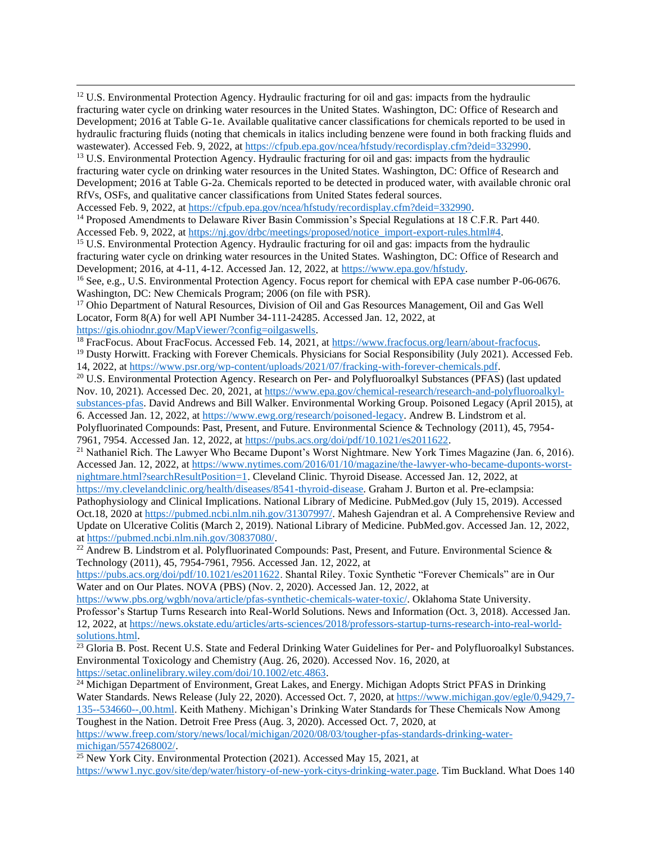<sup>12</sup> U.S. Environmental Protection Agency. Hydraulic fracturing for oil and gas: impacts from the hydraulic fracturing water cycle on drinking water resources in the United States. Washington, DC: Office of Research and Development; 2016 at Table G-1e. Available qualitative cancer classifications for chemicals reported to be used in hydraulic fracturing fluids (noting that chemicals in italics including benzene were found in both fracking fluids and wastewater). Accessed Feb. 9, 2022, at [https://cfpub.epa.gov/ncea/hfstudy/recordisplay.cfm?deid=332990.](https://cfpub.epa.gov/ncea/hfstudy/recordisplay.cfm?deid=332990)

<sup>13</sup> U.S. Environmental Protection Agency. Hydraulic fracturing for oil and gas: impacts from the hydraulic fracturing water cycle on drinking water resources in the United States. Washington, DC: Office of Research and Development; 2016 at Table G-2a. Chemicals reported to be detected in produced water, with available chronic oral RfVs, OSFs, and qualitative cancer classifications from United States federal sources.

Accessed Feb. 9, 2022, at [https://cfpub.epa.gov/ncea/hfstudy/recordisplay.cfm?deid=332990.](https://cfpub.epa.gov/ncea/hfstudy/recordisplay.cfm?deid=332990)

<sup>14</sup> Proposed Amendments to Delaware River Basin Commission's Special Regulations at 18 C.F.R. Part 440. Accessed Feb. 9, 2022, at [https://nj.gov/drbc/meetings/proposed/notice\\_import-export-rules.html#4.](https://nj.gov/drbc/meetings/proposed/notice_import-export-rules.html#4)

<sup>15</sup> U.S. Environmental Protection Agency. Hydraulic fracturing for oil and gas: impacts from the hydraulic fracturing water cycle on drinking water resources in the United States. Washington, DC: Office of Research and Development; 2016, at 4-11, 4-12. Accessed Jan. 12, 2022, at [https://www.epa.gov/hfstudy.](https://www.epa.gov/hfstudy)

<sup>16</sup> See, e.g., U.S. Environmental Protection Agency. Focus report for chemical with EPA case number P-06-0676. Washington, DC: New Chemicals Program; 2006 (on file with PSR).

<sup>17</sup> Ohio Department of Natural Resources, Division of Oil and Gas Resources Management, Oil and Gas Well Locator, Form 8(A) for well API Number 34-111-24285. Accessed Jan. 12, 2022, at

[https://gis.ohiodnr.gov/MapViewer/?config=oilgaswells.](https://gis.ohiodnr.gov/MapViewer/?config=oilgaswells)

<sup>18</sup> FracFocus. About FracFocus. Accessed Feb. 14, 2021, at [https://www.fracfocus.org/learn/about-fracfocus.](https://www.fracfocus.org/learn/about-fracfocus)  $<sup>19</sup>$  Dusty Horwitt. Fracking with Forever Chemicals. Physicians for Social Responsibility (July 2021). Accessed Feb.</sup>

14, 2022, a[t https://www.psr.org/wp-content/uploads/2021/07/fracking-with-forever-chemicals.pdf.](https://www.psr.org/wp-content/uploads/2021/07/fracking-with-forever-chemicals.pdf)

<sup>20</sup> U.S. Environmental Protection Agency. Research on Per- and Polyfluoroalkyl Substances (PFAS) (last updated Nov. 10, 2021). Accessed Dec. 20, 2021, at [https://www.epa.gov/chemical-research/research-and-polyfluoroalkyl](https://www.epa.gov/chemical-research/research-and-polyfluoroalkyl-substances-pfas)[substances-pfas.](https://www.epa.gov/chemical-research/research-and-polyfluoroalkyl-substances-pfas) David Andrews and Bill Walker. Environmental Working Group. Poisoned Legacy (April 2015), at 6. Accessed Jan. 12, 2022, at [https://www.ewg.org/research/poisoned-legacy.](https://www.ewg.org/research/poisoned-legacy) Andrew B. Lindstrom et al. Polyfluorinated Compounds: Past, Present, and Future. Environmental Science & Technology (2011), 45, 7954- 7961, 7954. Accessed Jan. 12, 2022, at [https://pubs.acs.org/doi/pdf/10.1021/es2011622.](https://pubs.acs.org/doi/pdf/10.1021/es2011622)

<sup>21</sup> Nathaniel Rich. The Lawyer Who Became Dupont's Worst Nightmare. New York Times Magazine (Jan. 6, 2016). Accessed Jan. 12, 2022, at [https://www.nytimes.com/2016/01/10/magazine/the-lawyer-who-became-duponts-worst](https://www.nytimes.com/2016/01/10/magazine/the-lawyer-who-became-duponts-worst-nightmare.html?searchResultPosition=1)[nightmare.html?searchResultPosition=1.](https://www.nytimes.com/2016/01/10/magazine/the-lawyer-who-became-duponts-worst-nightmare.html?searchResultPosition=1) Cleveland Clinic. Thyroid Disease. Accessed Jan. 12, 2022, at

[https://my.clevelandclinic.org/health/diseases/8541-thyroid-disease.](https://my.clevelandclinic.org/health/diseases/8541-thyroid-disease) Graham J. Burton et al. Pre-eclampsia: Pathophysiology and Clinical Implications. National Library of Medicine. PubMed.gov (July 15, 2019). Accessed Oct.18, 2020 at [https://pubmed.ncbi.nlm.nih.gov/31307997/.](https://pubmed.ncbi.nlm.nih.gov/31307997/) Mahesh Gajendran et al. A Comprehensive Review and Update on Ulcerative Colitis (March 2, 2019). National Library of Medicine. PubMed.gov. Accessed Jan. 12, 2022, a[t https://pubmed.ncbi.nlm.nih.gov/30837080/.](https://pubmed.ncbi.nlm.nih.gov/30837080/)

<sup>22</sup> Andrew B. Lindstrom et al. Polyfluorinated Compounds: Past, Present, and Future. Environmental Science & Technology (2011), 45, 7954-7961, 7956. Accessed Jan. 12, 2022, at

[https://pubs.acs.org/doi/pdf/10.1021/es2011622.](https://pubs.acs.org/doi/pdf/10.1021/es2011622) Shantal Riley. Toxic Synthetic "Forever Chemicals" are in Our Water and on Our Plates. NOVA (PBS) (Nov. 2, 2020). Accessed Jan. 12, 2022, at

[https://www.pbs.org/wgbh/nova/article/pfas-synthetic-chemicals-water-toxic/.](https://www.pbs.org/wgbh/nova/article/pfas-synthetic-chemicals-water-toxic/) Oklahoma State University. Professor's Startup Turns Research into Real-World Solutions. News and Information (Oct. 3, 2018). Accessed Jan. 12, 2022, a[t https://news.okstate.edu/articles/arts-sciences/2018/professors-startup-turns-research-into-real-world](https://news.okstate.edu/articles/arts-sciences/2018/professors-startup-turns-research-into-real-world-solutions.html)[solutions.html.](https://news.okstate.edu/articles/arts-sciences/2018/professors-startup-turns-research-into-real-world-solutions.html)

 $\frac{23}{23}$  Gloria B. Post. Recent U.S. State and Federal Drinking Water Guidelines for Per- and Polyfluoroalkyl Substances. Environmental Toxicology and Chemistry (Aug. 26, 2020). Accessed Nov. 16, 2020, at [https://setac.onlinelibrary.wiley.com/doi/10.1002/etc.4863.](https://setac.onlinelibrary.wiley.com/doi/10.1002/etc.4863)

<sup>24</sup> Michigan Department of Environment, Great Lakes, and Energy. Michigan Adopts Strict PFAS in Drinking Water Standards. News Release (July 22, 2020). Accessed Oct. 7, 2020, a[t https://www.michigan.gov/egle/0,9429,7-](https://www.michigan.gov/egle/0,9429,7-135--534660--,00.html) [135--534660--,00.html.](https://www.michigan.gov/egle/0,9429,7-135--534660--,00.html) Keith Matheny. Michigan's Drinking Water Standards for These Chemicals Now Among Toughest in the Nation. Detroit Free Press (Aug. 3, 2020). Accessed Oct. 7, 2020, at [https://www.freep.com/story/news/local/michigan/2020/08/03/tougher-pfas-standards-drinking-water-](https://www.freep.com/story/news/local/michigan/2020/08/03/tougher-pfas-standards-drinking-water-michigan/5574268002/)

[michigan/5574268002/.](https://www.freep.com/story/news/local/michigan/2020/08/03/tougher-pfas-standards-drinking-water-michigan/5574268002/)

 $25$  New York City. Environmental Protection (2021). Accessed May 15, 2021, at

[https://www1.nyc.gov/site/dep/water/history-of-new-york-citys-drinking-water.page.](https://www1.nyc.gov/site/dep/water/history-of-new-york-citys-drinking-water.page) Tim Buckland. What Does 140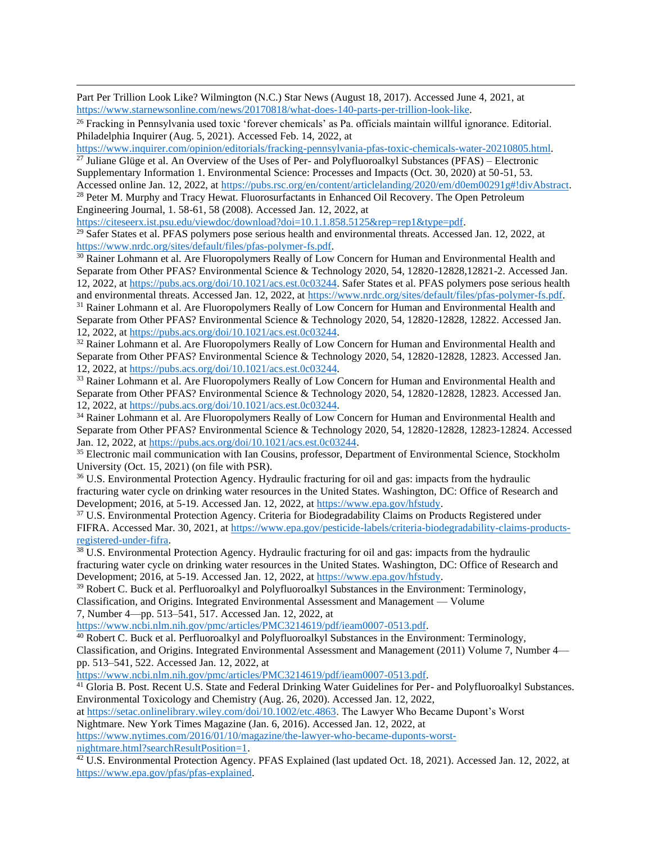Part Per Trillion Look Like? Wilmington (N.C.) Star News (August 18, 2017). Accessed June 4, 2021, at [https://www.starnewsonline.com/news/20170818/what-does-140-parts-per-trillion-look-like.](https://www.starnewsonline.com/news/20170818/what-does-140-parts-per-trillion-look-like)

<sup>26</sup> Fracking in Pennsylvania used toxic 'forever chemicals' as Pa. officials maintain willful ignorance. Editorial. Philadelphia Inquirer (Aug. 5, 2021). Accessed Feb. 14, 2022, at

[https://www.inquirer.com/opinion/editorials/fracking-pennsylvania-pfas-toxic-chemicals-water-20210805.html.](https://www.inquirer.com/opinion/editorials/fracking-pennsylvania-pfas-toxic-chemicals-water-20210805.html)

 $\frac{27}{27}$  Juliane Glüge et al. An Overview of the Uses of Per- and Polyfluoroalkyl Substances (PFAS) – Electronic Supplementary Information 1. Environmental Science: Processes and Impacts (Oct. 30, 2020) at 50-51, 53. Accessed online Jan. 12, 2022, at [https://pubs.rsc.org/en/content/articlelanding/2020/em/d0em00291g#!divAbstract.](https://pubs.rsc.org/en/content/articlelanding/2020/em/d0em00291g#!divAbstract)

<sup>28</sup> Peter M. Murphy and Tracy Hewat. Fluorosurfactants in Enhanced Oil Recovery. The Open Petroleum Engineering Journal, 1. 58-61, 58 (2008). Accessed Jan. 12, 2022, at

[https://citeseerx.ist.psu.edu/viewdoc/download?doi=10.1.1.858.5125&rep=rep1&type=pdf.](https://citeseerx.ist.psu.edu/viewdoc/download?doi=10.1.1.858.5125&rep=rep1&type=pdf)

<sup>29</sup> Safer States et al. PFAS polymers pose serious health and environmental threats. Accessed Jan. 12, 2022, at [https://www.nrdc.org/sites/default/files/pfas-polymer-fs.pdf.](https://www.nrdc.org/sites/default/files/pfas-polymer-fs.pdf)

<sup>30</sup> Rainer Lohmann et al. Are Fluoropolymers Really of Low Concern for Human and Environmental Health and Separate from Other PFAS? Environmental Science & Technology 2020, 54, 12820-12828,12821-2. Accessed Jan. 12, 2022, a[t https://pubs.acs.org/doi/10.1021/acs.est.0c03244.](https://pubs.acs.org/doi/10.1021/acs.est.0c03244) Safer States et al. PFAS polymers pose serious health and environmental threats. Accessed Jan. 12, 2022, at [https://www.nrdc.org/sites/default/files/pfas-polymer-fs.pdf.](https://www.nrdc.org/sites/default/files/pfas-polymer-fs.pdf)

<sup>31</sup> Rainer Lohmann et al. Are Fluoropolymers Really of Low Concern for Human and Environmental Health and Separate from Other PFAS? Environmental Science & Technology 2020, 54, 12820-12828, 12822. Accessed Jan. 12, 2022, a[t https://pubs.acs.org/doi/10.1021/acs.est.0c03244.](https://pubs.acs.org/doi/10.1021/acs.est.0c03244)

<sup>32</sup> Rainer Lohmann et al. Are Fluoropolymers Really of Low Concern for Human and Environmental Health and Separate from Other PFAS? Environmental Science & Technology 2020, 54, 12820-12828, 12823. Accessed Jan. 12, 2022, a[t https://pubs.acs.org/doi/10.1021/acs.est.0c03244.](https://pubs.acs.org/doi/10.1021/acs.est.0c03244)

<sup>33</sup> Rainer Lohmann et al. Are Fluoropolymers Really of Low Concern for Human and Environmental Health and Separate from Other PFAS? Environmental Science & Technology 2020, 54, 12820-12828, 12823. Accessed Jan. 12, 2022, a[t https://pubs.acs.org/doi/10.1021/acs.est.0c03244.](https://pubs.acs.org/doi/10.1021/acs.est.0c03244)

<sup>34</sup> Rainer Lohmann et al. Are Fluoropolymers Really of Low Concern for Human and Environmental Health and Separate from Other PFAS? Environmental Science & Technology 2020, 54, 12820-12828, 12823-12824. Accessed Jan. 12, 2022, at [https://pubs.acs.org/doi/10.1021/acs.est.0c03244.](https://pubs.acs.org/doi/10.1021/acs.est.0c03244)

<sup>35</sup> Electronic mail communication with Ian Cousins, professor, Department of Environmental Science, Stockholm University (Oct. 15, 2021) (on file with PSR).

<sup>36</sup> U.S. Environmental Protection Agency. Hydraulic fracturing for oil and gas: impacts from the hydraulic fracturing water cycle on drinking water resources in the United States. Washington, DC: Office of Research and Development; 2016, at 5-19. Accessed Jan. 12, 2022, a[t https://www.epa.gov/hfstudy.](https://www.epa.gov/hfstudy)

<sup>37</sup> U.S. Environmental Protection Agency. Criteria for Biodegradability Claims on Products Registered under FIFRA. Accessed Mar. 30, 2021, at [https://www.epa.gov/pesticide-labels/criteria-biodegradability-claims-products](https://www.epa.gov/pesticide-labels/criteria-biodegradability-claims-products-registered-under-fifra)[registered-under-fifra.](https://www.epa.gov/pesticide-labels/criteria-biodegradability-claims-products-registered-under-fifra)

<sup>38</sup> U.S. Environmental Protection Agency. Hydraulic fracturing for oil and gas: impacts from the hydraulic fracturing water cycle on drinking water resources in the United States. Washington, DC: Office of Research and Development; 2016, at 5-19. Accessed Jan. 12, 2022, a[t https://www.epa.gov/hfstudy.](https://www.epa.gov/hfstudy)

<sup>39</sup> Robert C. Buck et al. Perfluoroalkyl and Polyfluoroalkyl Substances in the Environment: Terminology, Classification, and Origins. Integrated Environmental Assessment and Management — Volume

7, Number 4—pp. 513–541, 517. Accessed Jan. 12, 2022, at

[https://www.ncbi.nlm.nih.gov/pmc/articles/PMC3214619/pdf/ieam0007-0513.pdf.](https://www.ncbi.nlm.nih.gov/pmc/articles/PMC3214619/pdf/ieam0007-0513.pdf)

<sup>40</sup> Robert C. Buck et al. Perfluoroalkyl and Polyfluoroalkyl Substances in the Environment: Terminology, Classification, and Origins. Integrated Environmental Assessment and Management (2011) Volume 7, Number 4 pp. 513–541, 522. Accessed Jan. 12, 2022, at

[https://www.ncbi.nlm.nih.gov/pmc/articles/PMC3214619/pdf/ieam0007-0513.pdf.](https://www.ncbi.nlm.nih.gov/pmc/articles/PMC3214619/pdf/ieam0007-0513.pdf)

<sup>41</sup> Gloria B. Post. Recent U.S. State and Federal Drinking Water Guidelines for Per- and Polyfluoroalkyl Substances. Environmental Toxicology and Chemistry (Aug. 26, 2020). Accessed Jan. 12, 2022,

a[t https://setac.onlinelibrary.wiley.com/doi/10.1002/etc.4863.](https://setac.onlinelibrary.wiley.com/doi/10.1002/etc.4863) The Lawyer Who Became Dupont's Worst

Nightmare. New York Times Magazine (Jan. 6, 2016). Accessed Jan. 12, 2022, at

[https://www.nytimes.com/2016/01/10/magazine/the-lawyer-who-became-duponts-worst](https://www.nytimes.com/2016/01/10/magazine/the-lawyer-who-became-duponts-worst-nightmare.html?searchResultPosition=1)[nightmare.html?searchResultPosition=1.](https://www.nytimes.com/2016/01/10/magazine/the-lawyer-who-became-duponts-worst-nightmare.html?searchResultPosition=1)

<sup>42</sup> U.S. Environmental Protection Agency. PFAS Explained (last updated Oct. 18, 2021). Accessed Jan. 12, 2022, at [https://www.epa.gov/pfas/pfas-explained.](https://www.epa.gov/pfas/pfas-explained)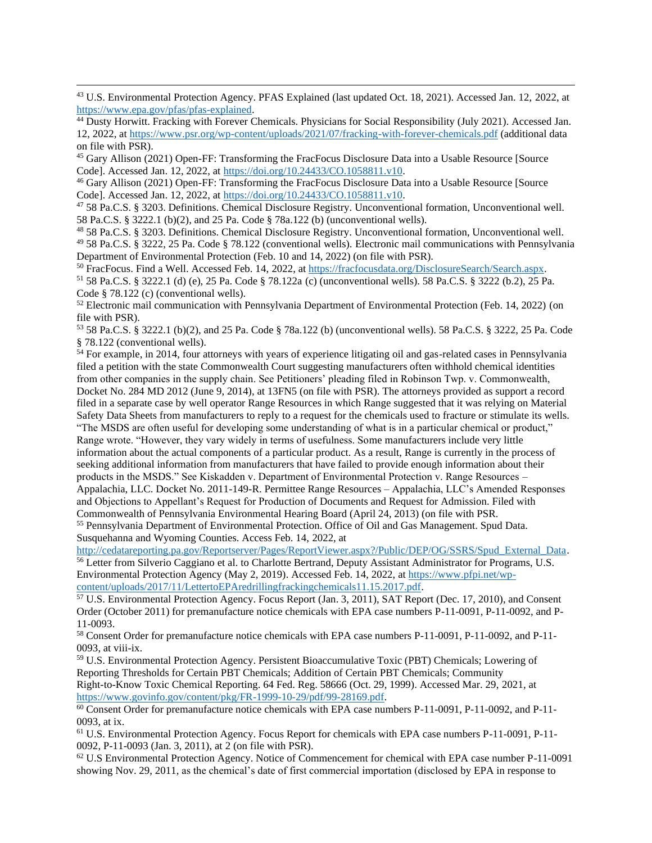<sup>43</sup> U.S. Environmental Protection Agency. PFAS Explained (last updated Oct. 18, 2021). Accessed Jan. 12, 2022, at [https://www.epa.gov/pfas/pfas-explained.](https://www.epa.gov/pfas/pfas-explained)

<sup>44</sup> Dusty Horwitt. Fracking with Forever Chemicals. Physicians for Social Responsibility (July 2021). Accessed Jan. 12, 2022, a[t https://www.psr.org/wp-content/uploads/2021/07/fracking-with-forever-chemicals.pdf](https://www.psr.org/wp-content/uploads/2021/07/fracking-with-forever-chemicals.pdf) (additional data on file with PSR).

<sup>45</sup> Gary Allison (2021) Open-FF: Transforming the FracFocus Disclosure Data into a Usable Resource [Source Code]. Accessed Jan. 12, 2022, a[t https://doi.org/10.24433/CO.1058811.v10.](https://doi.org/10.24433/CO.1058811.v10)

<sup>46</sup> Gary Allison (2021) Open-FF: Transforming the FracFocus Disclosure Data into a Usable Resource [Source Code]. Accessed Jan. 12, 2022, a[t https://doi.org/10.24433/CO.1058811.v10.](https://doi.org/10.24433/CO.1058811.v10)

<sup>47</sup> 58 Pa.C.S. § 3203. Definitions. Chemical Disclosure Registry. Unconventional formation, Unconventional well. 58 Pa.C.S. § 3222.1 (b)(2), and 25 Pa. Code § 78a.122 (b) (unconventional wells).

<sup>48</sup> 58 Pa.C.S. § 3203. Definitions. Chemical Disclosure Registry. Unconventional formation, Unconventional well. <sup>49</sup> 58 Pa.C.S. § 3222, 25 Pa. Code § 78.122 (conventional wells). Electronic mail communications with Pennsylvania Department of Environmental Protection (Feb. 10 and 14, 2022) (on file with PSR).

<sup>50</sup> FracFocus. Find a Well. Accessed Feb. 14, 2022, at [https://fracfocusdata.org/DisclosureSearch/Search.aspx.](https://fracfocusdata.org/DisclosureSearch/Search.aspx) <sup>51</sup> 58 Pa.C.S. § 3222.1 (d) (e), 25 Pa. Code § 78.122a (c) (unconventional wells). 58 Pa.C.S. § 3222 (b.2), 25 Pa. Code § 78.122 (c) (conventional wells).

<sup>52</sup> Electronic mail communication with Pennsylvania Department of Environmental Protection (Feb. 14, 2022) (on file with PSR).

<sup>53</sup> 58 Pa.C.S. § 3222.1 (b)(2), and 25 Pa. Code § 78a.122 (b) (unconventional wells). 58 Pa.C.S. § 3222, 25 Pa. Code § 78.122 (conventional wells).

<sup>54</sup> For example, in 2014, four attorneys with years of experience litigating oil and gas-related cases in Pennsylvania filed a petition with the state Commonwealth Court suggesting manufacturers often withhold chemical identities from other companies in the supply chain. See Petitioners' pleading filed in Robinson Twp. v. Commonwealth, Docket No. 284 MD 2012 (June 9, 2014), at 13FN5 (on file with PSR). The attorneys provided as support a record filed in a separate case by well operator Range Resources in which Range suggested that it was relying on Material Safety Data Sheets from manufacturers to reply to a request for the chemicals used to fracture or stimulate its wells. "The MSDS are often useful for developing some understanding of what is in a particular chemical or product," Range wrote. "However, they vary widely in terms of usefulness. Some manufacturers include very little information about the actual components of a particular product. As a result, Range is currently in the process of seeking additional information from manufacturers that have failed to provide enough information about their products in the MSDS." See Kiskadden v. Department of Environmental Protection v. Range Resources –

Appalachia, LLC. Docket No. 2011-149-R. Permittee Range Resources – Appalachia, LLC's Amended Responses and Objections to Appellant's Request for Production of Documents and Request for Admission. Filed with Commonwealth of Pennsylvania Environmental Hearing Board (April 24, 2013) (on file with PSR.

<sup>55</sup> Pennsylvania Department of Environmental Protection. Office of Oil and Gas Management. Spud Data. Susquehanna and Wyoming Counties. Access Feb. 14, 2022, at

[http://cedatareporting.pa.gov/Reportserver/Pages/ReportViewer.aspx?/Public/DEP/OG/SSRS/Spud\\_External\\_Data.](http://cedatareporting.pa.gov/Reportserver/Pages/ReportViewer.aspx?/Public/DEP/OG/SSRS/Spud_External_Data) <sup>56</sup> Letter from Silverio Caggiano et al. to Charlotte Bertrand, Deputy Assistant Administrator for Programs, U.S. Environmental Protection Agency (May 2, 2019). Accessed Feb. 14, 2022, a[t https://www.pfpi.net/wp](https://www.pfpi.net/wp-content/uploads/2017/11/LettertoEPAredrillingfrackingchemicals11.15.2017.pdf)[content/uploads/2017/11/LettertoEPAredrillingfrackingchemicals11.15.2017.pdf.](https://www.pfpi.net/wp-content/uploads/2017/11/LettertoEPAredrillingfrackingchemicals11.15.2017.pdf)

<sup>57</sup> U.S. Environmental Protection Agency. Focus Report (Jan. 3, 2011), SAT Report (Dec. 17, 2010), and Consent Order (October 2011) for premanufacture notice chemicals with EPA case numbers P-11-0091, P-11-0092, and P-11-0093.

<sup>58</sup> Consent Order for premanufacture notice chemicals with EPA case numbers P-11-0091, P-11-0092, and P-11- 0093, at viii-ix.

<sup>59</sup> U.S. Environmental Protection Agency. Persistent Bioaccumulative Toxic (PBT) Chemicals; Lowering of Reporting Thresholds for Certain PBT Chemicals; Addition of Certain PBT Chemicals; Community Right-to-Know Toxic Chemical Reporting. 64 Fed. Reg. 58666 (Oct. 29, 1999). Accessed Mar. 29, 2021, at [https://www.govinfo.gov/content/pkg/FR-1999-10-29/pdf/99-28169.pdf.](https://www.govinfo.gov/content/pkg/FR-1999-10-29/pdf/99-28169.pdf)

<sup>60</sup> Consent Order for premanufacture notice chemicals with EPA case numbers P-11-0091, P-11-0092, and P-11-0093, at ix.

<sup>61</sup> U.S. Environmental Protection Agency. Focus Report for chemicals with EPA case numbers P-11-0091, P-11- 0092, P-11-0093 (Jan. 3, 2011), at 2 (on file with PSR).

 $62$  U.S Environmental Protection Agency. Notice of Commencement for chemical with EPA case number P-11-0091 showing Nov. 29, 2011, as the chemical's date of first commercial importation (disclosed by EPA in response to